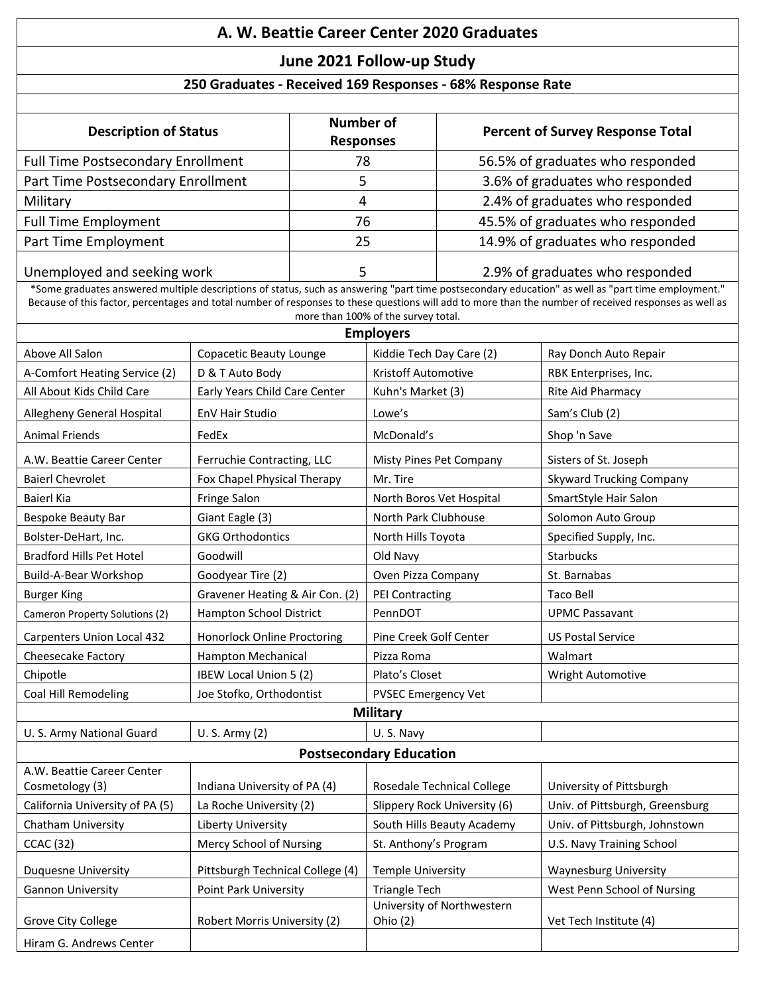## **A. W. Beattie Career Center 2020 Graduates**

## **June 2021 Follow-up Study**

## **250 Graduates - Received 169 Responses - 68% Response Rate**

| <b>Description of Status</b>       | <b>Number of</b><br><b>Responses</b>   | <b>Percent of Survey Response Total</b> |  |  |
|------------------------------------|----------------------------------------|-----------------------------------------|--|--|
| Full Time Postsecondary Enrollment | 78                                     | 56.5% of graduates who responded        |  |  |
| Part Time Postsecondary Enrollment |                                        | 3.6% of graduates who responded         |  |  |
| Military                           | 4                                      | 2.4% of graduates who responded         |  |  |
| <b>Full Time Employment</b>        | 45.5% of graduates who responded<br>76 |                                         |  |  |
| Part Time Employment<br>25         |                                        | 14.9% of graduates who responded        |  |  |
| Unemployed and seeking work        |                                        | 2.9% of graduates who responded         |  |  |

\*Some graduates answered multiple descriptions of status, such as answering "part time postsecondary education" as well as "part time employment." Because of this factor, percentages and total number of responses to these questions will add to more than the number of received responses as well as more than 100% of the survey total.

| <b>Employers</b>                              |                                  |                                        |                                 |  |  |
|-----------------------------------------------|----------------------------------|----------------------------------------|---------------------------------|--|--|
| Above All Salon                               | Copacetic Beauty Lounge          | Kiddie Tech Day Care (2)               | Ray Donch Auto Repair           |  |  |
| A-Comfort Heating Service (2)                 | D & T Auto Body                  | Kristoff Automotive                    | RBK Enterprises, Inc.           |  |  |
| All About Kids Child Care                     | Early Years Child Care Center    | Kuhn's Market (3)                      | Rite Aid Pharmacy               |  |  |
| Allegheny General Hospital                    | EnV Hair Studio                  | Lowe's                                 | Sam's Club (2)                  |  |  |
| <b>Animal Friends</b>                         | FedEx                            | McDonald's                             | Shop 'n Save                    |  |  |
| A.W. Beattie Career Center                    | Ferruchie Contracting, LLC       | Misty Pines Pet Company                | Sisters of St. Joseph           |  |  |
| <b>Baierl Chevrolet</b>                       | Fox Chapel Physical Therapy      | Mr. Tire                               | <b>Skyward Trucking Company</b> |  |  |
| Baierl Kia                                    | Fringe Salon                     | North Boros Vet Hospital               | SmartStyle Hair Salon           |  |  |
| Bespoke Beauty Bar                            | Giant Eagle (3)                  | North Park Clubhouse                   | Solomon Auto Group              |  |  |
| Bolster-DeHart, Inc.                          | <b>GKG Orthodontics</b>          | North Hills Toyota                     | Specified Supply, Inc.          |  |  |
| <b>Bradford Hills Pet Hotel</b>               | Goodwill                         | Old Navy                               | <b>Starbucks</b>                |  |  |
| Build-A-Bear Workshop                         | Goodyear Tire (2)                | Oven Pizza Company                     | St. Barnabas                    |  |  |
| <b>Burger King</b>                            | Gravener Heating & Air Con. (2)  | PEI Contracting                        | <b>Taco Bell</b>                |  |  |
| Cameron Property Solutions (2)                | Hampton School District          | PennDOT                                | <b>UPMC Passavant</b>           |  |  |
| Carpenters Union Local 432                    | Honorlock Online Proctoring      | Pine Creek Golf Center                 | <b>US Postal Service</b>        |  |  |
| Cheesecake Factory                            | Hampton Mechanical               | Pizza Roma                             | Walmart                         |  |  |
| Chipotle                                      | IBEW Local Union 5 (2)           | Plato's Closet                         | Wright Automotive               |  |  |
| Coal Hill Remodeling                          | Joe Stofko, Orthodontist         | PVSEC Emergency Vet                    |                                 |  |  |
| <b>Military</b>                               |                                  |                                        |                                 |  |  |
| U.S. Army National Guard                      | U. S. Army (2)                   | U.S. Navy                              |                                 |  |  |
| <b>Postsecondary Education</b>                |                                  |                                        |                                 |  |  |
| A.W. Beattie Career Center<br>Cosmetology (3) | Indiana University of PA (4)     | Rosedale Technical College             | University of Pittsburgh        |  |  |
| California University of PA (5)               | La Roche University (2)          | Slippery Rock University (6)           | Univ. of Pittsburgh, Greensburg |  |  |
| Chatham University                            | Liberty University               | South Hills Beauty Academy             | Univ. of Pittsburgh, Johnstown  |  |  |
| <b>CCAC</b> (32)                              | Mercy School of Nursing          | St. Anthony's Program                  | U.S. Navy Training School       |  |  |
| <b>Duquesne University</b>                    | Pittsburgh Technical College (4) | <b>Temple University</b>               | <b>Waynesburg University</b>    |  |  |
| <b>Gannon University</b>                      | Point Park University            | <b>Triangle Tech</b>                   | West Penn School of Nursing     |  |  |
| Grove City College                            | Robert Morris University (2)     | University of Northwestern<br>Ohio (2) | Vet Tech Institute (4)          |  |  |
| Hiram G. Andrews Center                       |                                  |                                        |                                 |  |  |